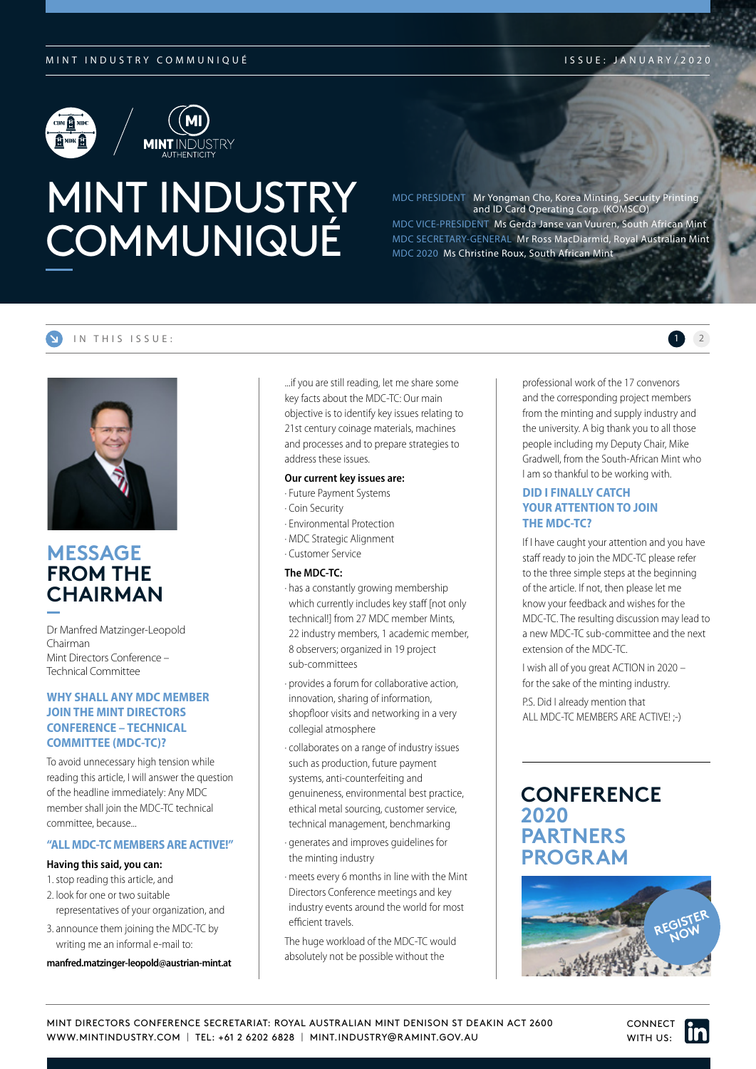#### MINT INDUSTRY COMMUNIQUÉ

ISSUE: JANUARY/2020





# MINT INDUSTRY **COMMUNIQUÉ**

MDC PRESIDENT Mr Yongman Cho, Korea Minting, Security Printing and ID Card Operating Corp. (KOMSCO) MDC VICE-PRESIDENT Ms Gerda Janse van Vuuren, South African Mint MDC SECRETARY-GENERAL Mr Ross MacDiarmid, Royal Australian Mint MDC 2020 Ms Christine Roux, South African Mint

### IN THIS ISSUE:



## **MESSAGE FROM THE CHAIRMAN**

Dr Manfred Matzinger-Leopold Chairman Mint Directors Conference – Technical Committee

#### **WHY SHALL ANY MDC MEMBER JOIN THE MINT DIRECTORS CONFERENCE – TECHNICAL COMMITTEE (MDC-TC)?**

To avoid unnecessary high tension while reading this article, I will answer the question of the headline immediately: Any MDC member shall join the MDC-TC technical committee, because...

#### **"ALL MDC-TC MEMBERS ARE ACTIVE!"**

#### **Having this said, you can:**

- 1. stop reading this article, and
- 2. look for one or two suitable representatives of your organization, and
- 3. announce them joining the MDC-TC by writing me an informal e-mail to:

**manfred.matzinger-leopold@austrian-mint.at**

...if you are still reading, let me share some key facts about the MDC-TC: Our main objective is to identify key issues relating to 21st century coinage materials, machines and processes and to prepare strategies to address these issues.

#### **Our current key issues are:**

- · Future Payment Systems
- · Coin Security
- · Environmental Protection
- · MDC Strategic Alignment
- · Customer Service

#### **The MDC-TC:**

- · has a constantly growing membership which currently includes key staff [not only technical!] from 27 MDC member Mints, 22 industry members, 1 academic member, 8 observers; organized in 19 project sub-committees
- provides a forum for collaborative action, innovation, sharing of information, shopfloor visits and networking in a very collegial atmosphere
- · collaborates on a range of industry issues such as production, future payment systems, anti-counterfeiting and genuineness, environmental best practice, ethical metal sourcing, customer service, technical management, benchmarking
- · generates and improves guidelines for the minting industry
- · meets every 6 months in line with the Mint Directors Conference meetings and key industry events around the world for most efficient travels.

The huge workload of the MDC-TC would absolutely not be possible without the

professional work of the 17 convenors and the corresponding project members from the minting and supply industry and the university. A big thank you to all those people including my Deputy Chair, Mike Gradwell, from the South-African Mint who I am so thankful to be working with.

2

#### **DID I FINALLY CATCH YOUR ATTENTION TO JOIN THE MDC-TC?**

If I have caught your attention and you have staff ready to join the MDC-TC please refer to the three simple steps at the beginning of the article. If not, then please let me know your feedback and wishes for the MDC-TC. The resulting discussion may lead to a new MDC-TC sub-committee and the next extension of the MDC-TC.

I wish all of you great ACTION in 2020 – for the sake of the minting industry.

P.S. Did I already mention that ALL MDC-TC MEMBERS ARE ACTIVE! :- )

## **CONFERENCE 2020 PARTNERS PROGRAM**